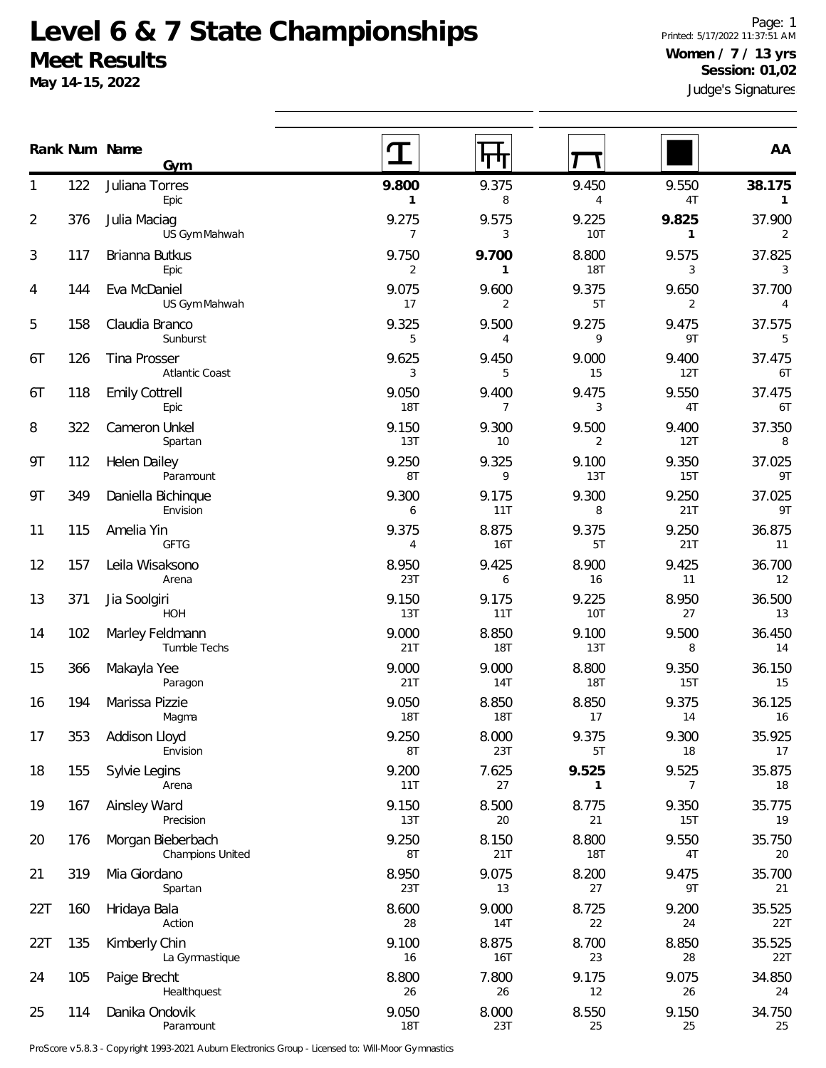## **Level 6 & 7 State Championships Meet Results**

**May 14-15, 2022**

Judge's Signatures Page: 1 Printed: 5/17/2022 11:37:51 AM **Women / 7 / 13 yrs Session: 01,02**

|                |     | Rank Num Name<br>Gym                  |                         |                         |                       |              | AA                     |
|----------------|-----|---------------------------------------|-------------------------|-------------------------|-----------------------|--------------|------------------------|
| 1              | 122 | Juliana Torres<br>Epic                | 9.800<br>$\mathbf{1}$   | 9.375<br>8              | 9.450<br>4            | 9.550<br>4T  | 38.175<br>$\mathbf{1}$ |
| $\overline{2}$ | 376 | Julia Maciag<br>US Gym Mahwah         | 9.275<br>$\overline{7}$ | 9.575<br>3              | 9.225<br><b>10T</b>   | 9.825<br>1   | 37.900<br>2            |
| 3              | 117 | Brianna Butkus<br>Epic                | 9.750<br>$\overline{2}$ | 9.700<br>$\mathbf{1}$   | 8.800<br><b>18T</b>   | 9.575<br>3   | 37.825<br>3            |
| 4              | 144 | Eva McDaniel<br>US Gym Mahwah         | 9.075<br>17             | 9.600<br>2              | 9.375<br>5T           | 9.650<br>2   | 37.700<br>4            |
| 5              | 158 | Claudia Branco<br>Sunburst            | 9.325<br>5              | 9.500<br>4              | 9.275<br>9            | 9.475<br>9T  | 37.575<br>5            |
| 6T             | 126 | Tina Prosser<br>Atlantic Coast        | 9.625<br>3              | 9.450<br>5              | 9.000<br>15           | 9.400<br>12T | 37.475<br>6T           |
| 6T             | 118 | <b>Emily Cottrell</b><br>Epic         | 9.050<br><b>18T</b>     | 9.400<br>$\overline{7}$ | 9.475<br>3            | 9.550<br>4T  | 37.475<br>6T           |
| 8              | 322 | Cameron Unkel<br>Spartan              | 9.150<br>13T            | 9.300<br>10             | 9.500<br>2            | 9.400<br>12T | 37.350<br>8            |
| 9T             | 112 | Helen Dailey<br>Paramount             | 9.250<br>8T             | 9.325<br>9              | 9.100<br>13T          | 9.350<br>15T | 37.025<br>9T           |
| 9T             | 349 | Daniella Bichinque<br>Envision        | 9.300<br>6              | 9.175<br>11T            | 9.300<br>8            | 9.250<br>21T | 37.025<br>9T           |
| 11             | 115 | Amelia Yin<br><b>GFTG</b>             | 9.375<br>4              | 8.875<br>16T            | 9.375<br>5T           | 9.250<br>21T | 36.875<br>11           |
| 12             | 157 | Leila Wisaksono<br>Arena              | 8.950<br>23T            | 9.425<br>6              | 8.900<br>16           | 9.425<br>11  | 36.700<br>12           |
| 13             | 371 | Jia Soolgiri<br>HOH                   | 9.150<br>13T            | 9.175<br>11T            | 9.225<br>10T          | 8.950<br>27  | 36.500<br>13           |
| 14             | 102 | Marley Feldmann<br>Tumble Techs       | 9.000<br>21T            | 8.850<br>18T            | 9.100<br>13T          | 9.500<br>8   | 36.450<br>14           |
| 15             | 366 | Makayla Yee<br>Paragon                | 9.000<br>21T            | 9.000<br>14T            | 8.800<br>18T          | 9.350<br>15T | 36.150<br>15           |
| 16             | 194 | Marissa Pizzie<br>Magma               | 9.050<br><b>18T</b>     | 8.850<br><b>18T</b>     | 8.850<br>17           | 9.375<br>14  | 36.125<br>16           |
| 17             | 353 | Addison Lloyd<br>Envision             | 9.250<br>8T             | 8.000<br>23T            | 9.375<br>5T           | 9.300<br>18  | 35.925<br>17           |
| 18             | 155 | Sylvie Legins<br>Arena                | 9.200<br>11T            | 7.625<br>27             | 9.525<br>$\mathbf{1}$ | 9.525<br>7   | 35.875<br>18           |
| 19             | 167 | Ainsley Ward<br>Precision             | 9.150<br>13T            | 8.500<br>20             | 8.775<br>21           | 9.350<br>15T | 35.775<br>19           |
| 20             | 176 | Morgan Bieberbach<br>Champions United | 9.250<br>8T             | 8.150<br>21T            | 8.800<br>18T          | 9.550<br>4T  | 35.750<br>20           |
| 21             | 319 | Mia Giordano<br>Spartan               | 8.950<br>23T            | 9.075<br>13             | 8.200<br>27           | 9.475<br>9T  | 35.700<br>21           |
| 22T            | 160 | Hridaya Bala<br>Action                | 8.600<br>28             | 9.000<br>14T            | 8.725<br>22           | 9.200<br>24  | 35.525<br>22T          |
| 22T            | 135 | Kimberly Chin<br>La Gymnastique       | 9.100<br>16             | 8.875<br>16T            | 8.700<br>23           | 8.850<br>28  | 35.525<br>22T          |
| 24             | 105 | Paige Brecht<br>Healthquest           | 8.800<br>26             | 7.800<br>26             | 9.175<br>12           | 9.075<br>26  | 34.850<br>24           |
| 25             | 114 | Danika Ondovik<br>Paramount           | 9.050<br><b>18T</b>     | 8.000<br>23T            | 8.550<br>25           | 9.150<br>25  | 34.750<br>25           |

ProScore v5.8.3 - Copyright 1993-2021 Auburn Electronics Group - Licensed to: Will-Moor Gymnastics